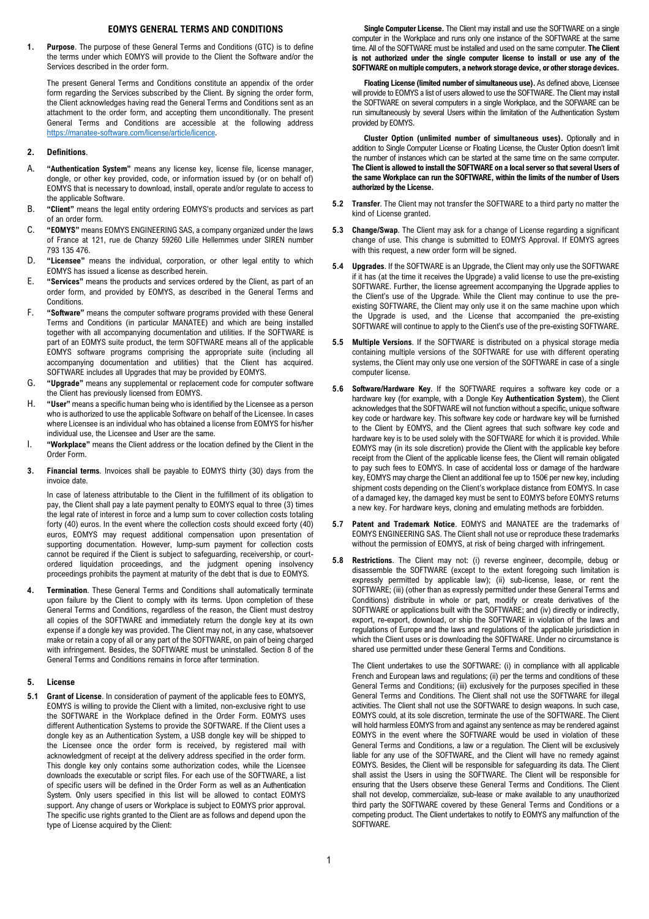## **EOMYS GENERAL TERMS AND CONDITIONS**

**1. Purpose**. The purpose of these General Terms and Conditions (GTC) is to define the terms under which EOMYS will provide to the Client the Software and/or the Services described in the order form.

The present General Terms and Conditions constitute an appendix of the order form regarding the Services subscribed by the Client. By signing the order form, the Client acknowledges having read the General Terms and Conditions sent as an attachment to the order form, and accepting them unconditionally. The present General Terms and Conditions are accessible at the following address https://manatee-software.com/license/article/licence.

## **2. Definitions**.

- A. **"Authentication System"** means any license key, license file, license manager, dongle, or other key provided, code, or information issued by (or on behalf of) EOMYS that is necessary to download, install, operate and/or regulate to access to the applicable Software.
- B. **"Client"** means the legal entity ordering EOMYS's products and services as part of an order form.
- C. **"EOMYS"** means EOMYS ENGINEERING SAS, a company organized under the laws of France at 121, rue de Chanzy 59260 Lille Hellemmes under SIREN number 793 135 476.
- D. **"Licensee"** means the individual, corporation, or other legal entity to which EOMYS has issued a license as described herein.
- E. **"Services"** means the products and services ordered by the Client, as part of an order form, and provided by EOMYS, as described in the General Terms and **Conditions**
- F. **"Software"** means the computer software programs provided with these General Terms and Conditions (in particular MANATEE) and which are being installed together with all accompanying documentation and utilities. If the SOFTWARE is part of an EOMYS suite product, the term SOFTWARE means all of the applicable EOMYS software programs comprising the appropriate suite (including all accompanying documentation and utilities) that the Client has acquired. SOFTWARE includes all Upgrades that may be provided by EOMYS.
- G. **"Upgrade"** means any supplemental or replacement code for computer software the Client has previously licensed from EOMYS.
- H. **"User"** means a specific human being who is identified by the Licensee as a person who is authorized to use the applicable Software on behalf of the Licensee. In cases where Licensee is an individual who has obtained a license from EOMYS for his/her individual use, the Licensee and User are the same.
- I. **"Workplace"** means the Client address or the location defined by the Client in the Order Form.
- **3. Financial terms**. Invoices shall be payable to EOMYS thirty (30) days from the invoice date.

In case of lateness attributable to the Client in the fulfillment of its obligation to pay, the Client shall pay a late payment penalty to EOMYS equal to three (3) times the legal rate of interest in force and a lump sum to cover collection costs totaling forty (40) euros. In the event where the collection costs should exceed forty (40) euros, EOMYS may request additional compensation upon presentation of supporting documentation. However, lump-sum payment for collection costs cannot be required if the Client is subject to safeguarding, receivership, or courtordered liquidation proceedings, and the judgment opening insolvency proceedings prohibits the payment at maturity of the debt that is due to EOMYS.

**4. Termination**. These General Terms and Conditions shall automatically terminate upon failure by the Client to comply with its terms. Upon completion of these General Terms and Conditions, regardless of the reason, the Client must destroy all copies of the SOFTWARE and immediately return the dongle key at its own expense if a dongle key was provided. The Client may not, in any case, whatsoever make or retain a copy of all or any part of the SOFTWARE, on pain of being charged with infringement. Besides, the SOFTWARE must be uninstalled. Section 8 of the General Terms and Conditions remains in force after termination.

## **5. License**

**5.1 Grant of License**. In consideration of payment of the applicable fees to EOMYS, EOMYS is willing to provide the Client with a limited, non-exclusive right to use the SOFTWARE in the Workplace defined in the Order Form. EOMYS uses different Authentication Systems to provide the SOFTWARE. If the Client uses a dongle key as an Authentication System, a USB dongle key will be shipped to the Licensee once the order form is received, by registered mail with acknowledgment of receipt at the delivery address specified in the order form. This dongle key only contains some authorization codes, while the Licensee downloads the executable or script files. For each use of the SOFTWARE, a list of specific users will be defined in the Order Form as well as an Authentication System. Only users specified in this list will be allowed to contact EOMYS support. Any change of users or Workplace is subject to EOMYS prior approval. The specific use rights granted to the Client are as follows and depend upon the type of License acquired by the Client:

 **Single Computer License.** The Client may install and use the SOFTWARE on a single computer in the Workplace and runs only one instance of the SOFTWARE at the same time. All of the SOFTWARE must be installed and used on the same computer. **The Client is not authorized under the single computer license to install or use any of the SOFTWARE on multiple computers, a network storage device, or other storage devices.** 

 **Floating License (limited number of simultaneous use).** As defined above, Licensee will provide to EOMYS a list of users allowed to use the SOFTWARE. The Client may install the SOFTWARE on several computers in a single Workplace, and the SOFWARE can be run simultaneously by several Users within the limitation of the Authentication System provided by EOMYS.

 **Cluster Option (unlimited number of simultaneous uses).** Optionally and in addition to Single Computer License or Floating License, the Cluster Option doesn't limit the number of instances which can be started at the same time on the same computer. **The Client is allowed to install the SOFTWARE on a local server so that several Users of the same Workplace can run the SOFTWARE, within the limits of the number of Users authorized by the License.** 

- **5.2 Transfer**. The Client may not transfer the SOFTWARE to a third party no matter the kind of License granted.
- **5.3 Change/Swap**. The Client may ask for a change of License regarding a significant change of use. This change is submitted to EOMYS Approval. If EOMYS agrees with this request, a new order form will be signed.
- **5.4 Upgrades**. If the SOFTWARE is an Upgrade, the Client may only use the SOFTWARE if it has (at the time it receives the Upgrade) a valid license to use the pre-existing SOFTWARE. Further, the license agreement accompanying the Upgrade applies to the Client's use of the Upgrade. While the Client may continue to use the preexisting SOFTWARE, the Client may only use it on the same machine upon which the Upgrade is used, and the License that accompanied the pre-existing SOFTWARE will continue to apply to the Client's use of the pre-existing SOFTWARE.
- **5.5 Multiple Versions**. If the SOFTWARE is distributed on a physical storage media containing multiple versions of the SOFTWARE for use with different operating systems, the Client may only use one version of the SOFTWARE in case of a single computer license.
- **5.6 Software/Hardware Key**. If the SOFTWARE requires a software key code or a hardware key (for example, with a Dongle Key **Authentication System**), the Client acknowledges that the SOFTWARE will not function without a specific, unique software key code or hardware key. This software key code or hardware key will be furnished to the Client by EOMYS, and the Client agrees that such software key code and hardware key is to be used solely with the SOFTWARE for which it is provided. While EOMYS may (in its sole discretion) provide the Client with the applicable key before receipt from the Client of the applicable license fees, the Client will remain obligated to pay such fees to EOMYS. In case of accidental loss or damage of the hardware key, EOMYS may charge the Client an additional fee up to 150€ per new key, including shipment costs depending on the Client's workplace distance from EOMYS. In case of a damaged key, the damaged key must be sent to EOMYS before EOMYS returns a new key. For hardware keys, cloning and emulating methods are forbidden.
- **5.7 Patent and Trademark Notice**. EOMYS and MANATEE are the trademarks of EOMYS ENGINEERING SAS. The Client shall not use or reproduce these trademarks without the permission of EOMYS, at risk of being charged with infringement.
- **5.8 Restrictions**. The Client may not: (i) reverse engineer, decompile, debug or disassemble the SOFTWARE (except to the extent foregoing such limitation is expressly permitted by applicable law); (ii) sub-license, lease, or rent the SOFTWARE; (iii) (other than as expressly permitted under these General Terms and Conditions) distribute in whole or part, modify or create derivatives of the SOFTWARE or applications built with the SOFTWARE; and (iv) directly or indirectly, export, re-export, download, or ship the SOFTWARE in violation of the laws and regulations of Europe and the laws and regulations of the applicable jurisdiction in which the Client uses or is downloading the SOFTWARE. Under no circumstance is shared use permitted under these General Terms and Conditions.

The Client undertakes to use the SOFTWARE: (i) in compliance with all applicable French and European laws and regulations; (ii) per the terms and conditions of these General Terms and Conditions; (iii) exclusively for the purposes specified in these General Terms and Conditions. The Client shall not use the SOFTWARE for illegal activities. The Client shall not use the SOFTWARE to design weapons. In such case, EOMYS could, at its sole discretion, terminate the use of the SOFTWARE. The Client will hold harmless EOMYS from and against any sentence as may be rendered against EOMYS in the event where the SOFTWARE would be used in violation of these General Terms and Conditions, a law or a regulation. The Client will be exclusively liable for any use of the SOFTWARE, and the Client will have no remedy against EOMYS. Besides, the Client will be responsible for safeguarding its data. The Client shall assist the Users in using the SOFTWARE. The Client will be responsible for ensuring that the Users observe these General Terms and Conditions. The Client shall not develop, commercialize, sub-lease or make available to any unauthorized third party the SOFTWARE covered by these General Terms and Conditions or a competing product. The Client undertakes to notify to EOMYS any malfunction of the **SOFTWARE**